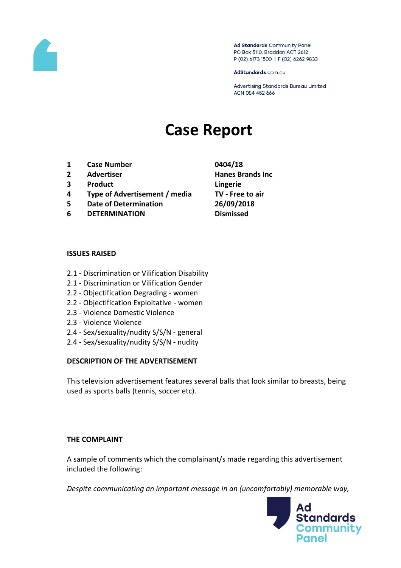

Ad Standards Community Panel PO Box 5110, Braddon ACT 2612 P (02) 6173 1500 | F (02) 6262 9833

AdStandards.com.au

Advertising Standards Bureau Limited ACN 084 452 666

# **Case Report**

- **1 Case Number 0404/18**
- 
- **3 Product Lingerie**
- **4 Type of Advertisement / media TV - Free to air**
- **5 Date of Determination 26/09/2018**
- **6 DETERMINATION Dismissed**
- **2 Advertiser Hanes Brands Inc**

#### **ISSUES RAISED**

- 2.1 Discrimination or Vilification Disability
- 2.1 Discrimination or Vilification Gender
- 2.2 Objectification Degrading women
- 2.2 Objectification Exploitative women
- 2.3 Violence Domestic Violence
- 2.3 Violence Violence
- 2.4 Sex/sexuality/nudity S/S/N general
- 2.4 Sex/sexuality/nudity S/S/N nudity

## **DESCRIPTION OF THE ADVERTISEMENT**

This television advertisement features several balls that look similar to breasts, being used as sports balls (tennis, soccer etc).

## **THE COMPLAINT**

A sample of comments which the complainant/s made regarding this advertisement included the following:

*Despite communicating an important message in an (uncomfortably) memorable way,* 

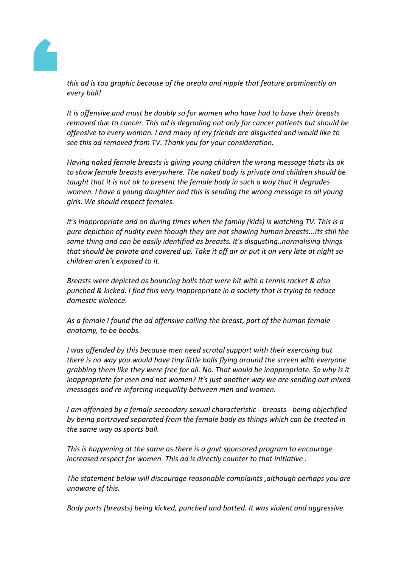

*this ad is too graphic because of the areola and nipple that feature prominently on every ball!*

*It is offensive and must be doubly so for women who have had to have their breasts removed due to cancer. This ad is degrading not only for cancer patients but should be offensive to every woman. I and many of my friends are disgusted and would like to see this ad removed from TV. Thank you for your consideration.*

*Having naked female breasts is giving young children the wrong message thats its ok to show female breasts everywhere. The naked body is private and children should be taught that it is not ok to present the female body in such a way that it degrades women. I have a young daughter and this is sending the wrong message to all young girls. We should respect females.*

*It's inappropriate and on during times when the family (kids) is watching TV. This is a pure depiction of nudity even though they are not showing human breasts...its still the same thing and can be easily identified as breasts. It's disgusting..normalising things that should be private and covered up. Take it off air or put it on very late at night so children aren't exposed to it.*

*Breasts were depicted as bouncing balls that were hit with a tennis racket & also punched & kicked. I find this very inappropriate in a society that is trying to reduce domestic violence.*

*As a female I found the ad offensive calling the breast, part of the human female anatomy, to be boobs.*

*I was offended by this because men need scrotal support with their exercising but there is no way you would have tiny little balls flying around the screen with everyone grabbing them like they were free for all. No. That would be inappropriate. So why is it inappropriate for men and not women? It's just another way we are sending out mixed messages and re-inforcing inequality between men and women.*

*I am offended by a female secondary sexual characteristic - breasts - being objectified by being portrayed separated from the female body as things which can be treated in the same way as sports ball.*

*This is happening at the same as there is a govt sponsored program to encourage increased respect for women. This ad is directly counter to that initiative .*

*The statement below will discourage reasonable complaints ,although perhaps you are unaware of this.*

*Body parts (breasts) being kicked, punched and batted. It was violent and aggressive.*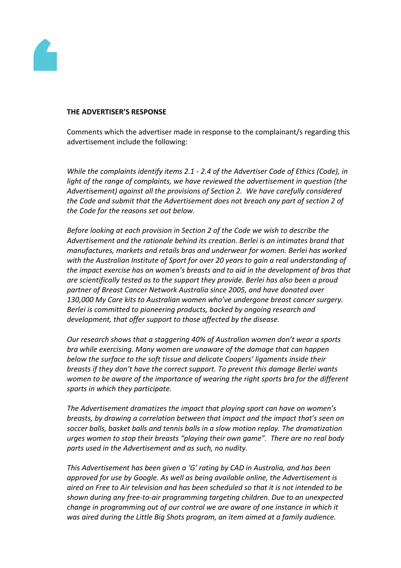

#### **THE ADVERTISER'S RESPONSE**

Comments which the advertiser made in response to the complainant/s regarding this advertisement include the following:

*While the complaints identify items 2.1 - 2.4 of the Advertiser Code of Ethics (Code), in light of the range of complaints, we have reviewed the advertisement in question (the Advertisement) against all the provisions of Section 2. We have carefully considered the Code and submit that the Advertisement does not breach any part of section 2 of the Code for the reasons set out below.*

*Before looking at each provision in Section 2 of the Code we wish to describe the Advertisement and the rationale behind its creation. Berlei is an intimates brand that manufactures, markets and retails bras and underwear for women. Berlei has worked with the Australian Institute of Sport for over 20 years to gain a real understanding of the impact exercise has on women's breasts and to aid in the development of bras that are scientifically tested as to the support they provide. Berlei has also been a proud partner of Breast Cancer Network Australia since 2005, and have donated over 130,000 My Care kits to Australian women who've undergone breast cancer surgery. Berlei is committed to pioneering products, backed by ongoing research and development, that offer support to those affected by the disease.*

*Our research shows that a staggering 40% of Australian women don't wear a sports bra while exercising. Many women are unaware of the damage that can happen below the surface to the soft tissue and delicate Coopers' ligaments inside their breasts if they don't have the correct support. To prevent this damage Berlei wants women to be aware of the importance of wearing the right sports bra for the different sports in which they participate.*

*The Advertisement dramatizes the impact that playing sport can have on women's breasts, by drawing a correlation between that impact and the impact that's seen on soccer balls, basket balls and tennis balls in a slow motion replay. The dramatization urges women to stop their breasts "playing their own game". There are no real body parts used in the Advertisement and as such, no nudity.*

*This Advertisement has been given a 'G' rating by CAD in Australia, and has been approved for use by Google. As well as being available online, the Advertisement is aired on Free to Air television and has been scheduled so that it is not intended to be shown during any free-to-air programming targeting children. Due to an unexpected change in programming out of our control we are aware of one instance in which it was aired during the Little Big Shots program, an item aimed at a family audience.*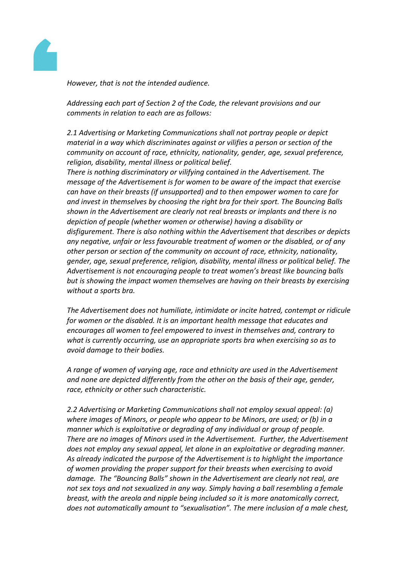

*However, that is not the intended audience.*

*Addressing each part of Section 2 of the Code, the relevant provisions and our comments in relation to each are as follows:*

*2.1 Advertising or Marketing Communications shall not portray people or depict material in a way which discriminates against or vilifies a person or section of the community on account of race, ethnicity, nationality, gender, age, sexual preference, religion, disability, mental illness or political belief.*

*There is nothing discriminatory or vilifying contained in the Advertisement. The message of the Advertisement is for women to be aware of the impact that exercise can have on their breasts (if unsupported) and to then empower women to care for and invest in themselves by choosing the right bra for their sport. The Bouncing Balls shown in the Advertisement are clearly not real breasts or implants and there is no depiction of people (whether women or otherwise) having a disability or disfigurement. There is also nothing within the Advertisement that describes or depicts any negative, unfair or less favourable treatment of women or the disabled, or of any other person or section of the community on account of race, ethnicity, nationality, gender, age, sexual preference, religion, disability, mental illness or political belief. The Advertisement is not encouraging people to treat women's breast like bouncing balls but is showing the impact women themselves are having on their breasts by exercising without a sports bra.*

*The Advertisement does not humiliate, intimidate or incite hatred, contempt or ridicule for women or the disabled. It is an important health message that educates and encourages all women to feel empowered to invest in themselves and, contrary to what is currently occurring, use an appropriate sports bra when exercising so as to avoid damage to their bodies.*

*A range of women of varying age, race and ethnicity are used in the Advertisement and none are depicted differently from the other on the basis of their age, gender, race, ethnicity or other such characteristic.*

*2.2 Advertising or Marketing Communications shall not employ sexual appeal: (a) where images of Minors, or people who appear to be Minors, are used; or (b) in a manner which is exploitative or degrading of any individual or group of people. There are no images of Minors used in the Advertisement. Further, the Advertisement does not employ any sexual appeal, let alone in an exploitative or degrading manner. As already indicated the purpose of the Advertisement is to highlight the importance of women providing the proper support for their breasts when exercising to avoid damage. The "Bouncing Balls" shown in the Advertisement are clearly not real, are not sex toys and not sexualized in any way. Simply having a ball resembling a female breast, with the areola and nipple being included so it is more anatomically correct, does not automatically amount to "sexualisation". The mere inclusion of a male chest,*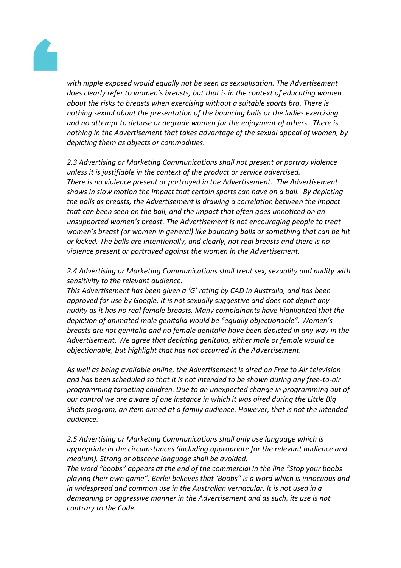

*with nipple exposed would equally not be seen as sexualisation. The Advertisement does clearly refer to women's breasts, but that is in the context of educating women about the risks to breasts when exercising without a suitable sports bra. There is nothing sexual about the presentation of the bouncing balls or the ladies exercising and no attempt to debase or degrade women for the enjoyment of others. There is nothing in the Advertisement that takes advantage of the sexual appeal of women, by depicting them as objects or commodities.*

*2.3 Advertising or Marketing Communications shall not present or portray violence unless it is justifiable in the context of the product or service advertised. There is no violence present or portrayed in the Advertisement. The Advertisement shows in slow motion the impact that certain sports can have on a ball. By depicting the balls as breasts, the Advertisement is drawing a correlation between the impact that can been seen on the ball, and the impact that often goes unnoticed on an unsupported women's breast. The Advertisement is not encouraging people to treat women's breast (or women in general) like bouncing balls or something that can be hit or kicked. The balls are intentionally, and clearly, not real breasts and there is no violence present or portrayed against the women in the Advertisement.*

*2.4 Advertising or Marketing Communications shall treat sex, sexuality and nudity with sensitivity to the relevant audience.*

*This Advertisement has been given a 'G' rating by CAD in Australia, and has been approved for use by Google. It is not sexually suggestive and does not depict any nudity as it has no real female breasts. Many complainants have highlighted that the depiction of animated male genitalia would be "equally objectionable". Women's breasts are not genitalia and no female genitalia have been depicted in any way in the Advertisement. We agree that depicting genitalia, either male or female would be objectionable, but highlight that has not occurred in the Advertisement.*

*As well as being available online, the Advertisement is aired on Free to Air television and has been scheduled so that it is not intended to be shown during any free-to-air programming targeting children. Due to an unexpected change in programming out of our control we are aware of one instance in which it was aired during the Little Big Shots program, an item aimed at a family audience. However, that is not the intended audience.*

*2.5 Advertising or Marketing Communications shall only use language which is appropriate in the circumstances (including appropriate for the relevant audience and medium). Strong or obscene language shall be avoided.*

*The word "boobs" appears at the end of the commercial in the line "Stop your boobs playing their own game". Berlei believes that 'Boobs" is a word which is innocuous and in widespread and common use in the Australian vernacular. It is not used in a demeaning or aggressive manner in the Advertisement and as such, its use is not contrary to the Code.*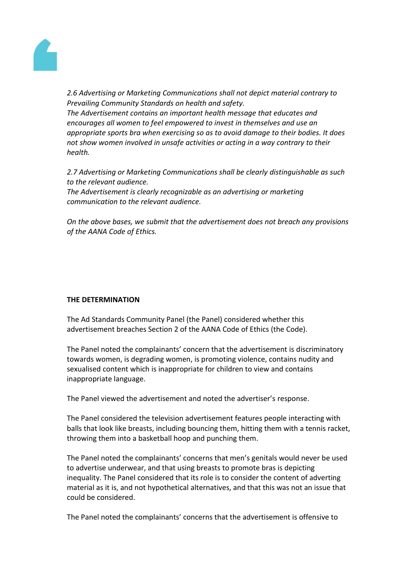

*2.6 Advertising or Marketing Communications shall not depict material contrary to Prevailing Community Standards on health and safety.*

*The Advertisement contains an important health message that educates and encourages all women to feel empowered to invest in themselves and use an appropriate sports bra when exercising so as to avoid damage to their bodies. It does not show women involved in unsafe activities or acting in a way contrary to their health.*

*2.7 Advertising or Marketing Communications shall be clearly distinguishable as such to the relevant audience.*

*The Advertisement is clearly recognizable as an advertising or marketing communication to the relevant audience.*

*On the above bases, we submit that the advertisement does not breach any provisions of the AANA Code of Ethics.*

# **THE DETERMINATION**

The Ad Standards Community Panel (the Panel) considered whether this advertisement breaches Section 2 of the AANA Code of Ethics (the Code).

The Panel noted the complainants' concern that the advertisement is discriminatory towards women, is degrading women, is promoting violence, contains nudity and sexualised content which is inappropriate for children to view and contains inappropriate language.

The Panel viewed the advertisement and noted the advertiser's response.

The Panel considered the television advertisement features people interacting with balls that look like breasts, including bouncing them, hitting them with a tennis racket, throwing them into a basketball hoop and punching them.

The Panel noted the complainants' concerns that men's genitals would never be used to advertise underwear, and that using breasts to promote bras is depicting inequality. The Panel considered that its role is to consider the content of adverting material as it is, and not hypothetical alternatives, and that this was not an issue that could be considered.

The Panel noted the complainants' concerns that the advertisement is offensive to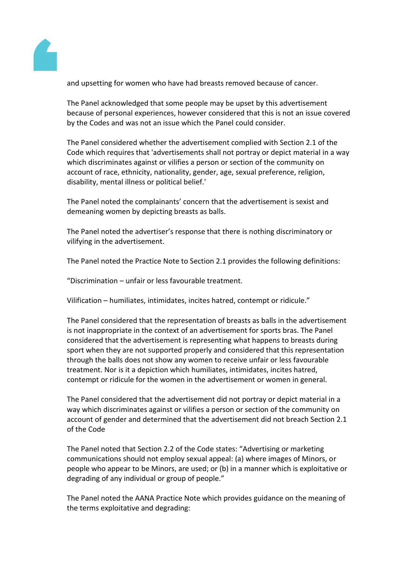

and upsetting for women who have had breasts removed because of cancer.

The Panel acknowledged that some people may be upset by this advertisement because of personal experiences, however considered that this is not an issue covered by the Codes and was not an issue which the Panel could consider.

The Panel considered whether the advertisement complied with Section 2.1 of the Code which requires that 'advertisements shall not portray or depict material in a way which discriminates against or vilifies a person or section of the community on account of race, ethnicity, nationality, gender, age, sexual preference, religion, disability, mental illness or political belief.'

The Panel noted the complainants' concern that the advertisement is sexist and demeaning women by depicting breasts as balls.

The Panel noted the advertiser's response that there is nothing discriminatory or vilifying in the advertisement.

The Panel noted the Practice Note to Section 2.1 provides the following definitions:

"Discrimination – unfair or less favourable treatment.

Vilification – humiliates, intimidates, incites hatred, contempt or ridicule."

The Panel considered that the representation of breasts as balls in the advertisement is not inappropriate in the context of an advertisement for sports bras. The Panel considered that the advertisement is representing what happens to breasts during sport when they are not supported properly and considered that this representation through the balls does not show any women to receive unfair or less favourable treatment. Nor is it a depiction which humiliates, intimidates, incites hatred, contempt or ridicule for the women in the advertisement or women in general.

The Panel considered that the advertisement did not portray or depict material in a way which discriminates against or vilifies a person or section of the community on account of gender and determined that the advertisement did not breach Section 2.1 of the Code

The Panel noted that Section 2.2 of the Code states: "Advertising or marketing communications should not employ sexual appeal: (a) where images of Minors, or people who appear to be Minors, are used; or (b) in a manner which is exploitative or degrading of any individual or group of people."

The Panel noted the AANA Practice Note which provides guidance on the meaning of the terms exploitative and degrading: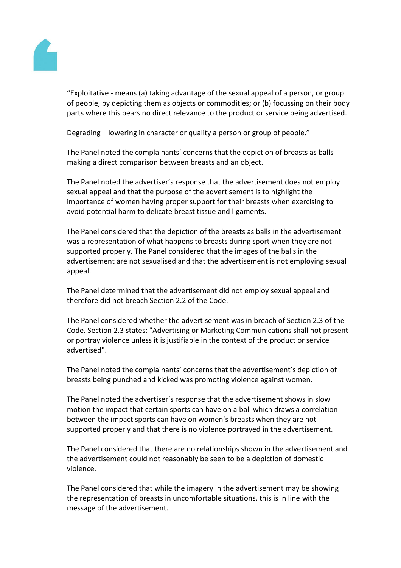

"Exploitative - means (a) taking advantage of the sexual appeal of a person, or group of people, by depicting them as objects or commodities; or (b) focussing on their body parts where this bears no direct relevance to the product or service being advertised.

Degrading – lowering in character or quality a person or group of people."

The Panel noted the complainants' concerns that the depiction of breasts as balls making a direct comparison between breasts and an object.

The Panel noted the advertiser's response that the advertisement does not employ sexual appeal and that the purpose of the advertisement is to highlight the importance of women having proper support for their breasts when exercising to avoid potential harm to delicate breast tissue and ligaments.

The Panel considered that the depiction of the breasts as balls in the advertisement was a representation of what happens to breasts during sport when they are not supported properly. The Panel considered that the images of the balls in the advertisement are not sexualised and that the advertisement is not employing sexual appeal.

The Panel determined that the advertisement did not employ sexual appeal and therefore did not breach Section 2.2 of the Code.

The Panel considered whether the advertisement was in breach of Section 2.3 of the Code. Section 2.3 states: "Advertising or Marketing Communications shall not present or portray violence unless it is justifiable in the context of the product or service advertised".

The Panel noted the complainants' concerns that the advertisement's depiction of breasts being punched and kicked was promoting violence against women.

The Panel noted the advertiser's response that the advertisement shows in slow motion the impact that certain sports can have on a ball which draws a correlation between the impact sports can have on women's breasts when they are not supported properly and that there is no violence portrayed in the advertisement.

The Panel considered that there are no relationships shown in the advertisement and the advertisement could not reasonably be seen to be a depiction of domestic violence.

The Panel considered that while the imagery in the advertisement may be showing the representation of breasts in uncomfortable situations, this is in line with the message of the advertisement.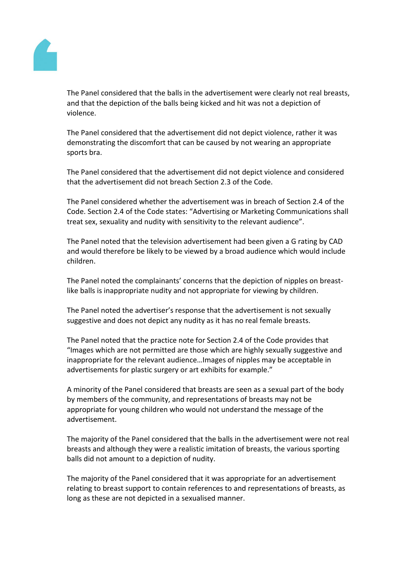

The Panel considered that the balls in the advertisement were clearly not real breasts, and that the depiction of the balls being kicked and hit was not a depiction of violence.

The Panel considered that the advertisement did not depict violence, rather it was demonstrating the discomfort that can be caused by not wearing an appropriate sports bra.

The Panel considered that the advertisement did not depict violence and considered that the advertisement did not breach Section 2.3 of the Code.

The Panel considered whether the advertisement was in breach of Section 2.4 of the Code. Section 2.4 of the Code states: "Advertising or Marketing Communications shall treat sex, sexuality and nudity with sensitivity to the relevant audience".

The Panel noted that the television advertisement had been given a G rating by CAD and would therefore be likely to be viewed by a broad audience which would include children.

The Panel noted the complainants' concerns that the depiction of nipples on breastlike balls is inappropriate nudity and not appropriate for viewing by children.

The Panel noted the advertiser's response that the advertisement is not sexually suggestive and does not depict any nudity as it has no real female breasts.

The Panel noted that the practice note for Section 2.4 of the Code provides that "Images which are not permitted are those which are highly sexually suggestive and inappropriate for the relevant audience…Images of nipples may be acceptable in advertisements for plastic surgery or art exhibits for example."

A minority of the Panel considered that breasts are seen as a sexual part of the body by members of the community, and representations of breasts may not be appropriate for young children who would not understand the message of the advertisement.

The majority of the Panel considered that the balls in the advertisement were not real breasts and although they were a realistic imitation of breasts, the various sporting balls did not amount to a depiction of nudity.

The majority of the Panel considered that it was appropriate for an advertisement relating to breast support to contain references to and representations of breasts, as long as these are not depicted in a sexualised manner.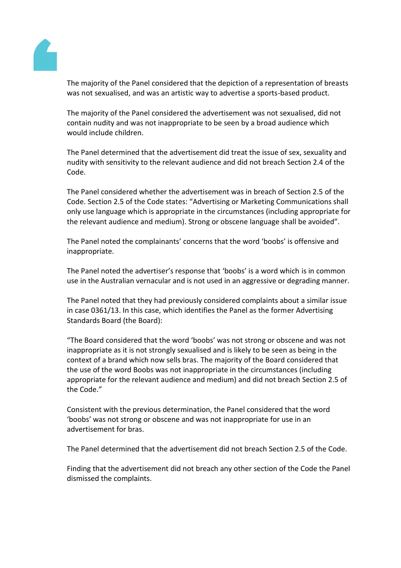

The majority of the Panel considered that the depiction of a representation of breasts was not sexualised, and was an artistic way to advertise a sports-based product.

The majority of the Panel considered the advertisement was not sexualised, did not contain nudity and was not inappropriate to be seen by a broad audience which would include children.

The Panel determined that the advertisement did treat the issue of sex, sexuality and nudity with sensitivity to the relevant audience and did not breach Section 2.4 of the Code.

The Panel considered whether the advertisement was in breach of Section 2.5 of the Code. Section 2.5 of the Code states: "Advertising or Marketing Communications shall only use language which is appropriate in the circumstances (including appropriate for the relevant audience and medium). Strong or obscene language shall be avoided".

The Panel noted the complainants' concerns that the word 'boobs' is offensive and inappropriate.

The Panel noted the advertiser's response that 'boobs' is a word which is in common use in the Australian vernacular and is not used in an aggressive or degrading manner.

The Panel noted that they had previously considered complaints about a similar issue in case 0361/13. In this case, which identifies the Panel as the former Advertising Standards Board (the Board):

"The Board considered that the word 'boobs' was not strong or obscene and was not inappropriate as it is not strongly sexualised and is likely to be seen as being in the context of a brand which now sells bras. The majority of the Board considered that the use of the word Boobs was not inappropriate in the circumstances (including appropriate for the relevant audience and medium) and did not breach Section 2.5 of the Code."

Consistent with the previous determination, the Panel considered that the word 'boobs' was not strong or obscene and was not inappropriate for use in an advertisement for bras.

The Panel determined that the advertisement did not breach Section 2.5 of the Code.

Finding that the advertisement did not breach any other section of the Code the Panel dismissed the complaints.